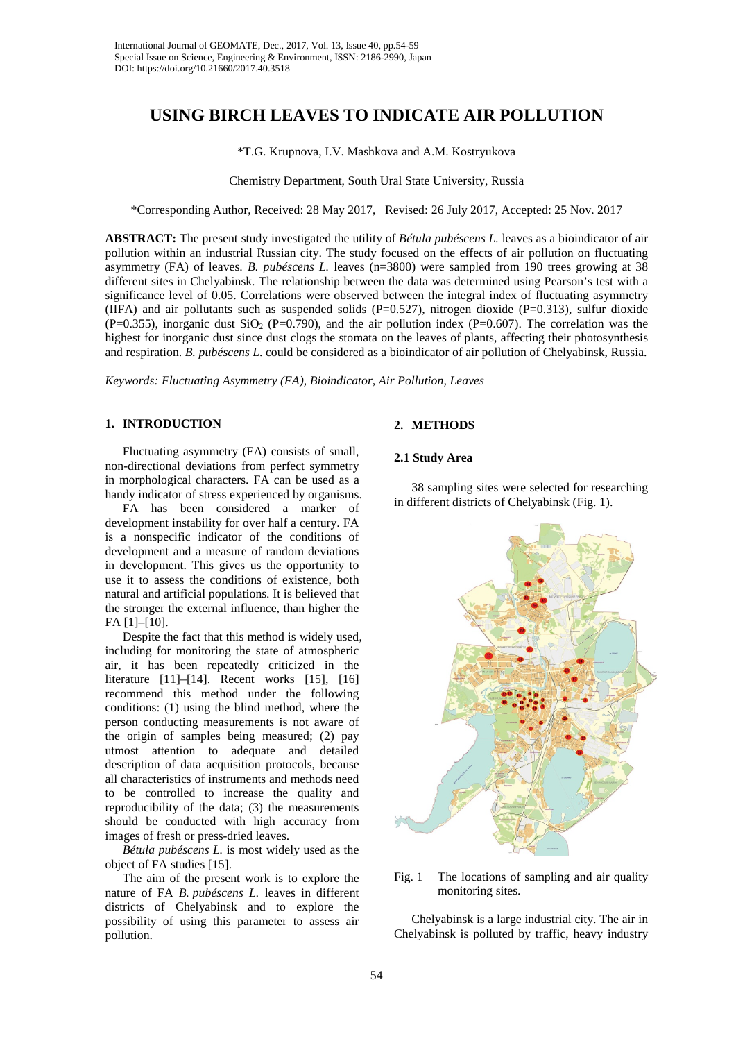# **USING BIRCH LEAVES TO INDICATE AIR POLLUTION**

# \*T.G. Krupnova, I.V. Mashkova and A.M. Kostryukova

Chemistry Department, South Ural State University, Russia

\*Corresponding Author, Received: 28 May 2017, Revised: 26 July 2017, Accepted: 25 Nov. 2017

**ABSTRACT:** The present study investigated the utility of *Bétula pubéscens L.* leaves as a bioindicator of air pollution within an industrial Russian city. The study focused on the effects of air pollution on fluctuating asymmetry (FA) of leaves. *B. pubéscens L.* leaves (n=3800) were sampled from 190 trees growing at 38 different sites in Chelyabinsk. The relationship between the data was determined using Pearson's test with a significance level of 0.05. Correlations were observed between the integral index of fluctuating asymmetry (IIFA) and air pollutants such as suspended solids  $(P=0.527)$ , nitrogen dioxide  $(P=0.313)$ , sulfur dioxide (P=0.355), inorganic dust  $SiO<sub>2</sub>$  (P=0.790), and the air pollution index (P=0.607). The correlation was the highest for inorganic dust since dust clogs the stomata on the leaves of plants, affecting their photosynthesis and respiration. *B. pubéscens L*. could be considered as a bioindicator of air pollution of Chelyabinsk, Russia.

*Keywords: Fluctuating Asymmetry (FA), Bioindicator, Air Pollution, Leaves*

# **1. INTRODUCTION**

Fluctuating asymmetry (FA) consists of small, non-directional deviations from perfect symmetry in morphological characters. FA can be used as a handy indicator of stress experienced by organisms.

FA has been considered a marker of development instability for over half a century. FA is a nonspecific indicator of the conditions of development and a measure of random deviations in development. This gives us the opportunity to use it to assess the conditions of existence, both natural and artificial populations. It is believed that the stronger the external influence, than higher the FA [1]–[10].

Despite the fact that this method is widely used, including for monitoring the state of atmospheric air, it has been repeatedly criticized in the literature [11]–[14]. Recent works [15], [16] recommend this method under the following conditions: (1) using the blind method, where the person conducting measurements is not aware of the origin of samples being measured; (2) pay utmost attention to adequate and detailed description of data acquisition protocols, because all characteristics of instruments and methods need to be controlled to increase the quality and reproducibility of the data; (3) the measurements should be conducted with high accuracy from images of fresh or press-dried leaves.

*Bétula pubéscens L.* is most widely used as the object of FA studies [15].

The aim of the present work is to explore the nature of FA *B. pubéscens L.* leaves in different districts of Chelyabinsk and to explore the possibility of using this parameter to assess air pollution.

# **2. METHODS**

#### **2.1 Study Area**

38 sampling sites were selected for researching in different districts of Chelyabinsk (Fig. 1).



Fig. 1 The locations of sampling and air quality monitoring sites.

Chelyabinsk is a large industrial city. The air in Chelyabinsk is polluted by traffic, heavy industry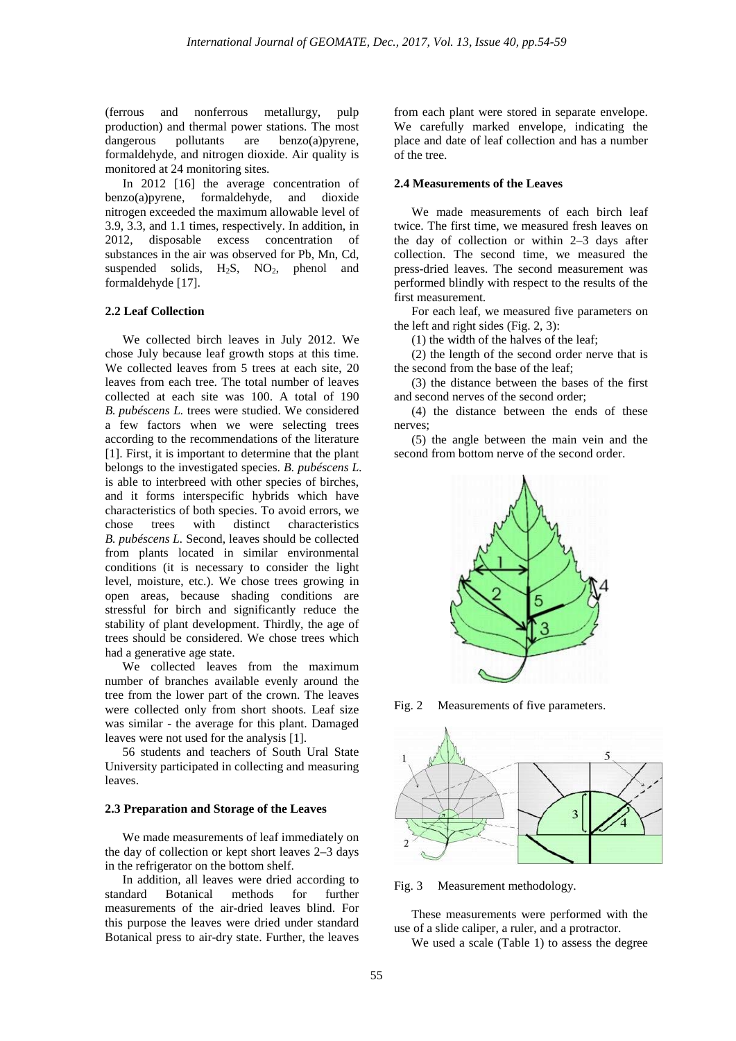(ferrous and nonferrous metallurgy, pulp production) and thermal power stations. The most<br>dangerous pollutants are benzo(a)pyrene. dangerous pollutants are benzo(a)pyrene, formaldehyde, and nitrogen dioxide. Air quality is monitored at 24 monitoring sites.

In  $2012$  [16] the average concentration of  $120(a)$  pyrene, formal dehyde, and dioxide benzo(a)pyrene, formaldehyde, and dioxide nitrogen exceeded the maximum allowable level of 3.9, 3.3, and 1.1 times, respectively. In addition, in 2012, disposable excess concentration of substances in the air was observed for Pb, Mn, Cd, suspended solids,  $H_2S$ ,  $NO_2$ , phenol and formaldehyde [17].

#### **2.2 Leaf Collection**

We collected birch leaves in July 2012. We chose July because leaf growth stops at this time. We collected leaves from 5 trees at each site, 20 leaves from each tree. The total number of leaves collected at each site was 100. A total of 190 *B. pubéscens L.* trees were studied. We considered a few factors when we were selecting trees according to the recommendations of the literature [1]. First, it is important to determine that the plant belongs to the investigated species. *B. pubéscens L.* is able to interbreed with other species of birches, and it forms interspecific hybrids which have characteristics of both species. To avoid errors, we<br>chose trees with distinct characteristics chose trees with distinct characteristics *B. pubéscens L.* Second, leaves should be collected from plants located in similar environmental conditions (it is necessary to consider the light level, moisture, etc.). We chose trees growing in open areas, because shading conditions are stressful for birch and significantly reduce the stability of plant development. Thirdly, the age of trees should be considered. We chose trees which had a generative age state.

We collected leaves from the maximum number of branches available evenly around the tree from the lower part of the crown. The leaves were collected only from short shoots. Leaf size was similar - the average for this plant. Damaged leaves were not used for the analysis [1].

56 students and teachers of South Ural State University participated in collecting and measuring leaves.

## **2.3 Preparation and Storage of the Leaves**

We made measurements of leaf immediately on the day of collection or kept short leaves 2–3 days in the refrigerator on the bottom shelf.

In addition, all leaves were dried according to standard Botanical methods for further measurements of the air-dried leaves blind. For this purpose the leaves were dried under standard Botanical press to air-dry state. Further, the leaves from each plant were stored in separate envelope. We carefully marked envelope, indicating the place and date of leaf collection and has a number of the tree.

# **2.4 Measurements of the Leaves**

We made measurements of each birch leaf twice. The first time, we measured fresh leaves on the day of collection or within 2–3 days after collection. The second time, we measured the press-dried leaves. The second measurement was performed blindly with respect to the results of the first measurement.

For each leaf, we measured five parameters on the left and right sides (Fig. 2, 3):

(1) the width of the halves of the leaf;

(2) the length of the second order nerve that is the second from the base of the leaf;

(3) the distance between the bases of the first and second nerves of the second order;

(4) the distance between the ends of these nerves;

(5) the angle between the main vein and the second from bottom nerve of the second order.



Fig. 2 Measurements of five parameters.



Fig. 3 Measurement methodology.

These measurements were performed with the use of a slide caliper, a ruler, and a protractor. We used a scale (Table 1) to assess the degree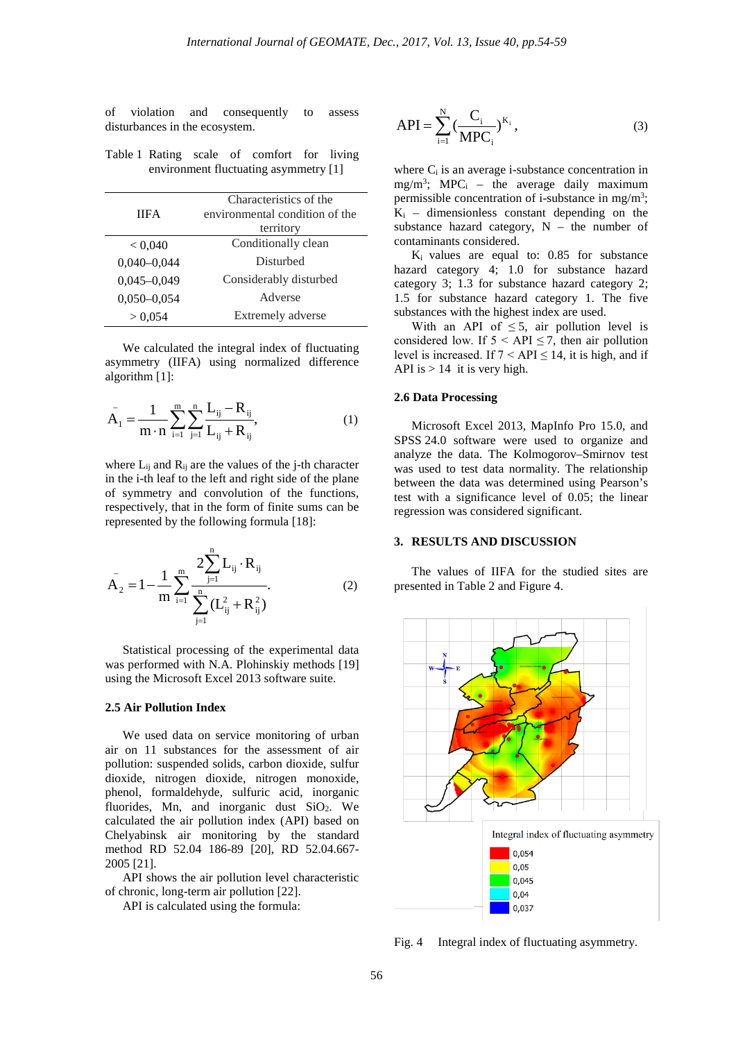of violation and consequently to assess disturbances in the ecosystem.

Table 1 Rating scale of comfort for living environment fluctuating asymmetry [1]

| <b>IIFA</b>     | Characteristics of the<br>environmental condition of the |  |
|-----------------|----------------------------------------------------------|--|
|                 | territory                                                |  |
| < 0.040         | Conditionally clean                                      |  |
| $0,040 - 0,044$ | Disturbed                                                |  |
| $0,045 - 0,049$ | Considerably disturbed                                   |  |
| $0,050 - 0,054$ | Adverse                                                  |  |
| > 0,054         | Extremely adverse                                        |  |

We calculated the integral index of fluctuating asymmetry (IIFA) using normalized difference algorithm [1]:

$$
\bar{A}_1 = \frac{1}{m \cdot n} \sum_{i=1}^{m} \sum_{j=1}^{n} \frac{L_{ij} - R_{ij}}{L_{ij} + R_{ij}},
$$
(1)

where  $L_{ij}$  and  $R_{ij}$  are the values of the j-th character in the i-th leaf to the left and right side of the plane of symmetry and convolution of the functions, respectively, that in the form of finite sums can be represented by the following formula [18]:

$$
A_{2} = 1 - \frac{1}{m} \sum_{i=1}^{m} \frac{2 \sum_{j=1}^{n} L_{ij} \cdot R_{ij}}{\sum_{j=1}^{n} (L_{ij}^{2} + R_{ij}^{2})}.
$$
 (2)

Statistical processing of the experimental data was performed with N.A. Plohinskiy methods [19] using the Microsoft Excel 2013 software suite.

#### **2.5 Air Pollution Index**

We used data on service monitoring of urban air on 11 substances for the assessment of air pollution: suspended solids, carbon dioxide, sulfur dioxide, nitrogen dioxide, nitrogen monoxide, phenol, formaldehyde, sulfuric acid, inorganic fluorides, Mn, and inorganic dust  $SiO<sub>2</sub>$ . We calculated the air pollution index (API) based on Chelyabinsk air monitoring by the standard method RD 52.04 186-89 [20], RD 52.04.667- 2005 [21].

API shows the air pollution level characteristic of chronic, long-term air pollution [22].

API is calculated using the formula:

API = 
$$
\sum_{i=1}^{N} \left( \frac{C_i}{MPC_i} \right)^{K_i}
$$
, (3)

where  $C_i$  is an average i-substance concentration in  $mg/m<sup>3</sup>$ ; MPC<sub>i</sub> – the average daily maximum permissible concentration of i-substance in mg/m<sup>3</sup>;  $K_i$  – dimensionless constant depending on the substance hazard category,  $N -$  the number of contaminants considered.

 $K_i$  values are equal to: 0.85 for substance hazard category 4; 1.0 for substance hazard category 3; 1.3 for substance hazard category 2; 1.5 for substance hazard category 1. The five substances with the highest index are used.

With an API of  $\leq$  5, air pollution level is considered low. If  $5 < API \le 7$ , then air pollution level is increased. If  $7 < API \le 14$ , it is high, and if API is  $> 14$  it is very high.

# **2.6 Data Processing**

Microsoft Excel 2013, MapInfo Pro 15.0, and SPSS 24.0 software were used to organize and analyze the data. The Kolmogorov–Smirnov test was used to test data normality. The relationship between the data was determined using Pearson's test with a significance level of 0.05; the linear regression was considered significant.

# **3. RESULTS AND DISCUSSION**

The values of IIFA for the studied sites are presented in Table 2 and Figure 4.



Fig. 4 Integral index of fluctuating asymmetry.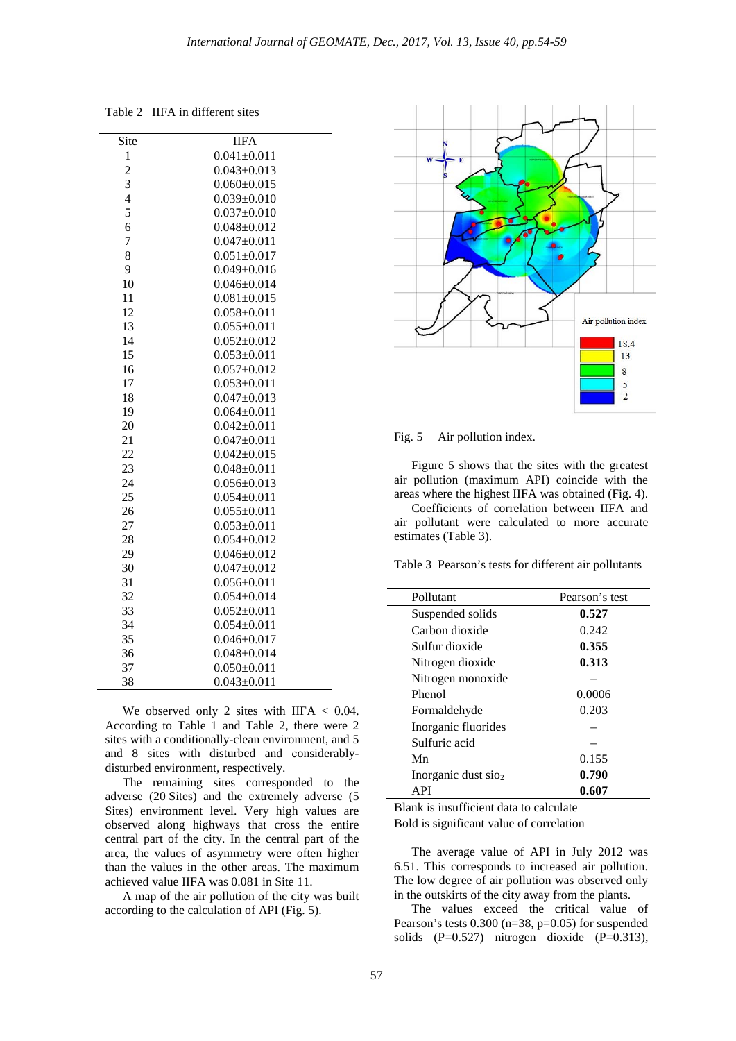Table 2 IIFA in different sites

| Site           | <b>IIFA</b>       |
|----------------|-------------------|
| 1              | $0.041 \pm 0.011$ |
| $\overline{c}$ | $0.043 \pm 0.013$ |
| 3              | $0.060 \pm 0.015$ |
| $\overline{4}$ | $0.039 \pm 0.010$ |
| 5              | $0.037 \pm 0.010$ |
| 6              | $0.048 \pm 0.012$ |
| 7              | $0.047 \pm 0.011$ |
| 8              | $0.051 \pm 0.017$ |
| 9              | $0.049 \pm 0.016$ |
| 10             | $0.046 \pm 0.014$ |
| 11             | $0.081 \pm 0.015$ |
| 12             | $0.058 \pm 0.011$ |
| 13             | $0.055 \pm 0.011$ |
| 14             | $0.052 \pm 0.012$ |
| 15             | $0.053 \pm 0.011$ |
| 16             | $0.057 + 0.012$   |
| 17             | $0.053 \pm 0.011$ |
| 18             | $0.047 \pm 0.013$ |
| 19             | $0.064 \pm 0.011$ |
| 20             | $0.042 \pm 0.011$ |
| 21             | $0.047 \pm 0.011$ |
| 22             | $0.042 \pm 0.015$ |
| 23             | $0.048 \pm 0.011$ |
| 24             | $0.056 \pm 0.013$ |
| 25             | $0.054 \pm 0.011$ |
| 26             | $0.055 \pm 0.011$ |
| 27             | $0.053 \pm 0.011$ |
| 28             | $0.054 \pm 0.012$ |
| 29             | $0.046 \pm 0.012$ |
| 30             | $0.047 \pm 0.012$ |
| 31             | $0.056 \pm 0.011$ |
| 32             | $0.054 \pm 0.014$ |
| 33             | $0.052 \pm 0.011$ |
| 34             | $0.054 \pm 0.011$ |
| 35             | $0.046 \pm 0.017$ |
| 36             | $0.048 \pm 0.014$ |
| 37             | $0.050 \pm 0.011$ |
| 38             | $0.043 \pm 0.011$ |

We observed only 2 sites with IIFA  $< 0.04$ . According to Table 1 and Table 2, there were 2 sites with a conditionally-clean environment, and 5 and 8 sites with disturbed and сonsiderablydisturbed environment, respectively.

The remaining sites corresponded to the adverse (20 Sites) and the extremely adverse (5 Sites) environment level. Very high values are observed along highways that cross the entire central part of the city. In the central part of the area, the values of asymmetry were often higher than the values in the other areas. The maximum achieved value IIFA was 0.081 in Site 11.

A map of the air pollution of the city was built according to the calculation of API (Fig. 5).



Fig. 5 Air pollution index.

Figure 5 shows that the sites with the greatest air pollution (maximum API) coincide with the areas where the highest IIFA was obtained (Fig. 4).

Coefficients of correlation between IIFA and air pollutant were calculated to more accurate estimates (Table 3).

Table 3 Pearson's tests for different air pollutants

| Pollutant                       | Pearson's test |
|---------------------------------|----------------|
| Suspended solids                | 0.527          |
| Carbon dioxide                  | 0.242          |
| Sulfur dioxide                  | 0.355          |
| Nitrogen dioxide                | 0.313          |
| Nitrogen monoxide               |                |
| Phenol                          | 0.0006         |
| Formaldehyde                    | 0.203          |
| Inorganic fluorides             |                |
| Sulfuric acid                   |                |
| Mn                              | 0.155          |
| Inorganic dust sio <sub>2</sub> | 0.790          |
| API                             | 0.607          |

Blank is insufficient data to calculate

Bold is significant value of correlation

The average value of API in July 2012 was 6.51. This corresponds to increased air pollution. The low degree of air pollution was observed only in the outskirts of the city away from the plants.

The values exceed the critical value of Pearson's tests 0.300 (n=38, p=0.05) for suspended solids (P=0.527) nitrogen dioxide (P=0.313),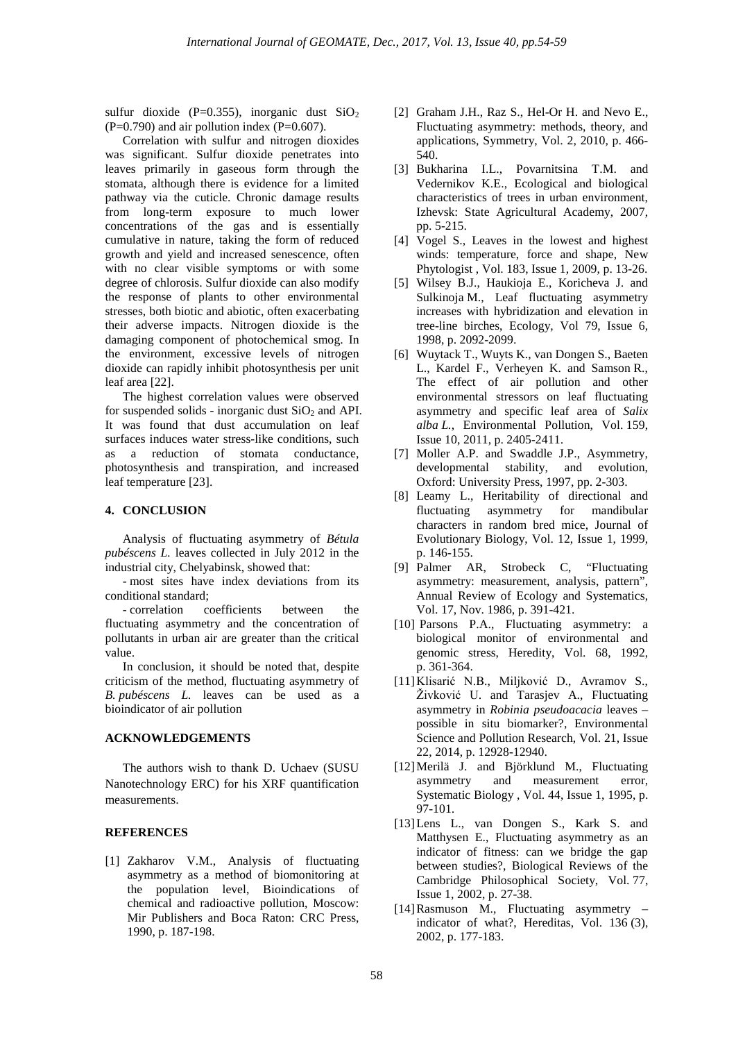sulfur dioxide (P=0.355), inorganic dust  $SiO<sub>2</sub>$  $(P=0.790)$  and air pollution index  $(P=0.607)$ .

Correlation with sulfur and nitrogen dioxides was significant. Sulfur dioxide penetrates into leaves primarily in gaseous form through the stomata, although there is evidence for a limited pathway via the cuticle. Chronic damage results from long-term exposure to much lower concentrations of the gas and is essentially cumulative in nature, taking the form of reduced growth and yield and increased senescence, often with no clear visible symptoms or with some degree of chlorosis. Sulfur dioxide can also modify the response of plants to other environmental stresses, both biotic and abiotic, often exacerbating their adverse impacts. Nitrogen dioxide is the damaging component of photochemical smog. In the environment, excessive levels of nitrogen dioxide can rapidly inhibit photosynthesis per unit leaf area [22].

The highest correlation values were observed for suspended solids - inorganic dust  $SiO<sub>2</sub>$  and API. It was found that dust accumulation on leaf surfaces induces water stress-like conditions, such as a reduction of stomata conductance, photosynthesis and transpiration, and increased leaf temperature [23].

# **4. CONCLUSION**

Analysis of fluctuating asymmetry of *Bétula pubéscens L.* leaves collected in July 2012 in the industrial city, Chelyabinsk, showed that:

- most sites have index deviations from its conditional standard;

- correlation coefficients between the fluctuating asymmetry and the concentration of pollutants in urban air are greater than the critical value.

In conclusion, it should be noted that, despite criticism of the method, fluctuating asymmetry of *B. pubéscens L.* leaves can be used as a bioindicator of air pollution

#### **ACKNOWLEDGEMENTS**

The authors wish to thank D. Uchaev (SUSU Nanotechnology ERC) for his XRF quantification measurements.

#### **REFERENCES**

[1] Zakharov V.M., Analysis of fluctuating asymmetry as a method of biomonitoring at the population level, Bioindications of chemical and radioactive pollution, Moscow: Mir Publishers and Boca Raton: CRC Press, 1990, p. 187-198.

- [2] Graham J.H., Raz S., Hel-Or H. and Nevo E., Fluctuating asymmetry: methods, theory, and applications, Symmetry, Vol. 2, 2010, p. 466- 540.
- [3] Bukharina I.L., Povarnitsina T.M. and Vedernikov K.E., Ecological and biological characteristics of trees in urban environment, Izhevsk: State Agricultural Academy, 2007, pp. 5-215.
- [4] Vogel S., Leaves in the lowest and highest winds: temperature, force and shape, New Phytologist , Vol. 183, Issue 1, 2009, p. 13-26.
- [5] Wilsey B.J., Haukioja E., Koricheva J. and Sulkinoja M., Leaf fluctuating asymmetry increases with hybridization and elevation in tree-line birches, Ecology, Vol 79, Issue 6, 1998, p. 2092-2099.
- [6] Wuytack T., Wuyts K., van Dongen S., Baeten L., Kardel F., Verheyen K. and Samson R., The effect of air pollution and other environmental stressors on leaf fluctuating asymmetry and specific leaf area of *Salix alba L.*, Environmental Pollution, Vol. 159, Issue 10, 2011, p. 2405-2411.
- [7] Moller A.P. and Swaddle J.P., Asymmetry, developmental stability, and evolution, Oxford: University Press, 1997, pp. 2-303.
- [8] Leamy L., Heritability of directional and fluctuating asymmetry for mandibular characters in random bred mice, Journal of Evolutionary Biology, Vol. 12, Issue 1, 1999, p. 146-155.
- [9] Palmer AR, Strobeck C, "Fluctuating asymmetry: measurement, analysis, pattern", Annual Review of Ecology and Systematics, Vol. 17, Nov. 1986, p. 391-421.
- [10] Parsons P.A., Fluctuating asymmetry: a biological monitor of environmental and genomic stress, Heredity, Vol. 68, 1992, p. 361-364.
- [11][Klisarić N.B](https://www.scopus.com/authid/detail.uri?origin=resultslist&authorId=36929731100&zone=)., [Miljković D](https://www.scopus.com/authid/detail.uri?origin=resultslist&authorId=35761205500&zone=)., [Avramov S.,](https://www.scopus.com/authid/detail.uri?origin=resultslist&authorId=7003424399&zone=) [Živković U](https://www.scopus.com/authid/detail.uri?origin=resultslist&authorId=55201317300&zone=). and [Tarasjev A.](https://www.scopus.com/authid/detail.uri?origin=resultslist&authorId=55983503400&zone=), Fluctuating asymmetry in *Robinia pseudoacacia* leaves – possible in situ biomarker?, Environmental Science and Pollution Research, Vol. 21, Issue 22, 2014, p. 12928-12940.
- [12]Merilä J. and Björklund M., Fluctuating asymmetry and measurement error, Systematic Biology , Vol. 44, Issue 1, 1995, p. 97-101.
- [13]Lens L., van Dongen S., Kark S. and Matthysen E., [Fluctuating asymmetry as an](https://www.scopus.com/record/display.uri?eid=2-s2.0-0036187325&origin=reflist&sort=plf-f&src=s&st1=kozlov&nlo=&nlr=&nls=&sid=AE0DBB5C39E19184CA5AECABB79B2AA0.wsnAw8kcdt7IPYLO0V48gA%3A440&sot=b&sdt=cl&cluster=scoaffilctry%2C%22Finland%22%2Ct&sl=19&s=AUTHOR-NAME(kozlov)&recordRank=)  [indicator of fitness: can we bridge the gap](https://www.scopus.com/record/display.uri?eid=2-s2.0-0036187325&origin=reflist&sort=plf-f&src=s&st1=kozlov&nlo=&nlr=&nls=&sid=AE0DBB5C39E19184CA5AECABB79B2AA0.wsnAw8kcdt7IPYLO0V48gA%3A440&sot=b&sdt=cl&cluster=scoaffilctry%2C%22Finland%22%2Ct&sl=19&s=AUTHOR-NAME(kozlov)&recordRank=)  [between studies?,](https://www.scopus.com/record/display.uri?eid=2-s2.0-0036187325&origin=reflist&sort=plf-f&src=s&st1=kozlov&nlo=&nlr=&nls=&sid=AE0DBB5C39E19184CA5AECABB79B2AA0.wsnAw8kcdt7IPYLO0V48gA%3A440&sot=b&sdt=cl&cluster=scoaffilctry%2C%22Finland%22%2Ct&sl=19&s=AUTHOR-NAME(kozlov)&recordRank=) Biological Reviews of the Cambridge Philosophical Society, Vol. 77, Issue 1, 2002, p. 27-38.
- [14]Rasmuson M., [Fluctuating asymmetry –](https://www.scopus.com/record/display.uri?eid=2-s2.0-0036756521&origin=reflist&sort=plf-f&src=s&st1=kozlov&nlo=&nlr=&nls=&sid=AE0DBB5C39E19184CA5AECABB79B2AA0.wsnAw8kcdt7IPYLO0V48gA%3A440&sot=b&sdt=cl&cluster=scoaffilctry%2C%22Finland%22%2Ct&sl=19&s=AUTHOR-NAME(kozlov)&recordRank=) [indicator of what?,](https://www.scopus.com/record/display.uri?eid=2-s2.0-0036756521&origin=reflist&sort=plf-f&src=s&st1=kozlov&nlo=&nlr=&nls=&sid=AE0DBB5C39E19184CA5AECABB79B2AA0.wsnAw8kcdt7IPYLO0V48gA%3A440&sot=b&sdt=cl&cluster=scoaffilctry%2C%22Finland%22%2Ct&sl=19&s=AUTHOR-NAME(kozlov)&recordRank=) Hereditas, Vol. 136 (3), 2002, p. 177-183.